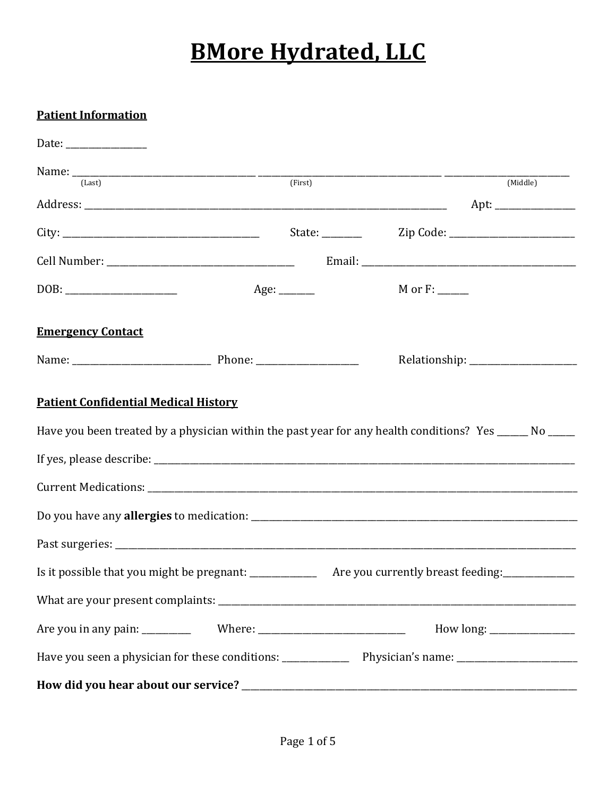## **Patient Information**

| Date: _______________                                                                                      |  |         |                                                                                                                      |          |
|------------------------------------------------------------------------------------------------------------|--|---------|----------------------------------------------------------------------------------------------------------------------|----------|
| (Last)                                                                                                     |  | (First) |                                                                                                                      | (Middle) |
|                                                                                                            |  |         |                                                                                                                      |          |
|                                                                                                            |  |         |                                                                                                                      |          |
|                                                                                                            |  |         |                                                                                                                      |          |
|                                                                                                            |  |         |                                                                                                                      |          |
| <b>Emergency Contact</b>                                                                                   |  |         |                                                                                                                      |          |
|                                                                                                            |  |         |                                                                                                                      |          |
| <b>Patient Confidential Medical History</b>                                                                |  |         |                                                                                                                      |          |
| Have you been treated by a physician within the past year for any health conditions? Yes ______ No _____   |  |         |                                                                                                                      |          |
|                                                                                                            |  |         |                                                                                                                      |          |
|                                                                                                            |  |         |                                                                                                                      |          |
|                                                                                                            |  |         |                                                                                                                      |          |
|                                                                                                            |  |         |                                                                                                                      |          |
| Is it possible that you might be pregnant: ________________ Are you currently breast feeding: ____________ |  |         |                                                                                                                      |          |
|                                                                                                            |  |         |                                                                                                                      |          |
| Are you in any pain: _________                                                                             |  |         |                                                                                                                      |          |
|                                                                                                            |  |         |                                                                                                                      |          |
| How did you hear about our service?                                                                        |  |         | <u> 1980 - Jan Barat, margaret amerikan basar dan basa dan basa dan basa dan basa dan basa dan basa dan basa dan</u> |          |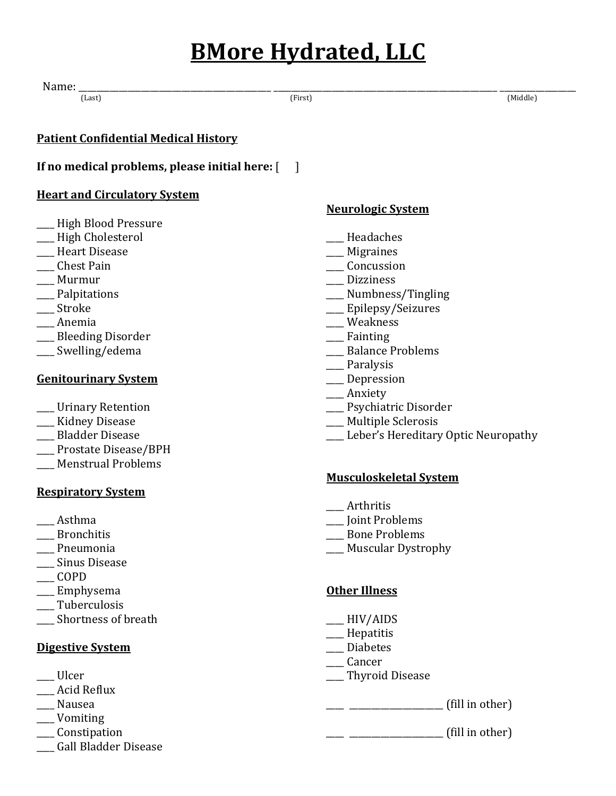$Name: \underline{\hspace{1cm}} \underline{\hspace{1cm}}$  (Last)  $\hspace{2cm}} \underline{\hspace{1cm}}$  (First)  $\hspace{2cm}}$  (First)  $\hspace{2cm}}$  (Middle)

#### **Patient Confidential Medical History**

**If no medical problems, please initial here:**  $\begin{bmatrix} 1 \end{bmatrix}$ 

#### **Heart and Circulatory System**

- \_\_\_ High Blood Pressure
- \_\_\_ High Cholesterol
- \_\_\_\_ Heart Disease
- \_\_\_\_ Chest Pain
- \_\_\_\_ Murmur
- \_\_\_\_ Palpitations
- \_\_\_ Stroke
- \_\_\_\_Anemia
- \_\_\_ Bleeding Disorder
- \_\_\_ Swelling/edema

#### **Genitourinary System**

- \_\_\_ Urinary Retention
- \_\_\_ Kidney Disease
- \_\_\_ Bladder Disease
- \_\_\_ Prostate Disease/BPH
- \_\_\_\_ Menstrual Problems

#### **Respiratory System**

- \_\_\_\_ Asthma
- \_\_\_ Bronchitis
- \_\_\_\_ Pneumonia
- \_\_\_ Sinus Disease
- $\_\_$  COPD
- \_\_\_\_ Emphysema
- \_\_\_\_ Tuberculosis
- Shortness of breath

#### **Digestive System**

- $\rule{1em}{0.15mm}$  Ulcer
- \_\_\_ Acid Reflux
- \_\_\_\_ Nausea
- \_\_\_\_ Vomiting
- \_\_\_\_ Constipation
- \_\_\_ Gall Bladder Disease

#### **Neurologic System**

- \_\_\_\_ Headaches
- \_\_\_ Migraines
- \_\_\_\_ Concussion
- \_\_\_\_ Dizziness
- \_\_\_ Numbness/Tingling
- \_\_\_\_ Epilepsy/Seizures
- \_\_\_ Weakness
- \_\_\_\_ Fainting
- \_\_\_ Balance Problems
- \_\_\_ Paralysis
- \_\_\_ Depression
- \_\_\_\_ Anxiety
- \_\_\_ Psychiatric Disorder
- \_\_\_ Multiple Sclerosis
- \_\_\_\_ Leber's Hereditary Optic Neuropathy

#### **Musculoskeletal System**

- \_\_\_\_ Arthritis
- \_\_\_ Joint Problems
- \_\_\_ Bone Problems
- \_\_\_\_ Muscular Dystrophy

#### **Other Illness**

- $\_$ HIV/AIDS
- \_\_\_\_ Hepatitis
- \_\_\_\_ Diabetes
- \_\_\_\_ Cancer
- \_\_\_ Thyroid Disease

\_\_\_\_ \_\_\_\_\_\_\_\_\_\_\_\_\_\_\_\_\_\_\_\_\_ (fill in other)

\_\_\_\_ \_\_\_\_\_\_\_\_\_\_\_\_\_\_\_\_\_\_\_\_\_ (fill in other)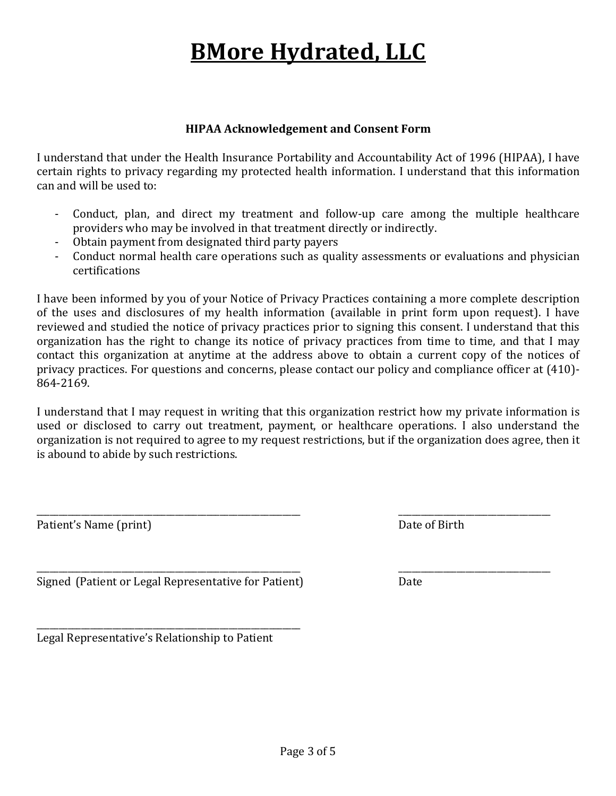#### **HIPAA Acknowledgement and Consent Form**

I understand that under the Health Insurance Portability and Accountability Act of 1996 (HIPAA), I have certain rights to privacy regarding my protected health information. I understand that this information can and will be used to:

- Conduct, plan, and direct my treatment and follow-up care among the multiple healthcare providers who may be involved in that treatment directly or indirectly.
- Obtain payment from designated third party payers
- Conduct normal health care operations such as quality assessments or evaluations and physician certifications

I have been informed by you of your Notice of Privacy Practices containing a more complete description of the uses and disclosures of my health information (available in print form upon request). I have reviewed and studied the notice of privacy practices prior to signing this consent. I understand that this organization has the right to change its notice of privacy practices from time to time, and that I may contact this organization at anytime at the address above to obtain a current copy of the notices of privacy practices. For questions and concerns, please contact our policy and compliance officer at (410)-864-2169.

I understand that I may request in writing that this organization restrict how my private information is used or disclosed to carry out treatment, payment, or healthcare operations. I also understand the organization is not required to agree to my request restrictions, but if the organization does agree, then it is abound to abide by such restrictions.

\_\_\_\_\_\_\_\_\_\_\_\_\_\_\_\_\_\_\_\_\_\_\_\_\_\_\_\_\_\_\_\_\_\_\_\_\_\_\_\_\_\_\_\_\_\_\_\_\_\_\_\_\_\_\_\_\_\_\_ \_\_\_\_\_\_\_\_\_\_\_\_\_\_\_\_\_\_\_\_\_\_\_\_\_\_\_\_\_\_\_\_\_\_

\_\_\_\_\_\_\_\_\_\_\_\_\_\_\_\_\_\_\_\_\_\_\_\_\_\_\_\_\_\_\_\_\_\_\_\_\_\_\_\_\_\_\_\_\_\_\_\_\_\_\_\_\_\_\_\_\_\_\_ \_\_\_\_\_\_\_\_\_\_\_\_\_\_\_\_\_\_\_\_\_\_\_\_\_\_\_\_\_\_\_\_\_\_

Patient's Name (print) and the contract of Date of Birth

Signed (Patient or Legal Representative for Patient) Date

\_\_\_\_\_\_\_\_\_\_\_\_\_\_\_\_\_\_\_\_\_\_\_\_\_\_\_\_\_\_\_\_\_\_\_\_\_\_\_\_\_\_\_\_\_\_\_\_\_\_\_\_\_\_\_\_\_\_\_

Legal Representative's Relationship to Patient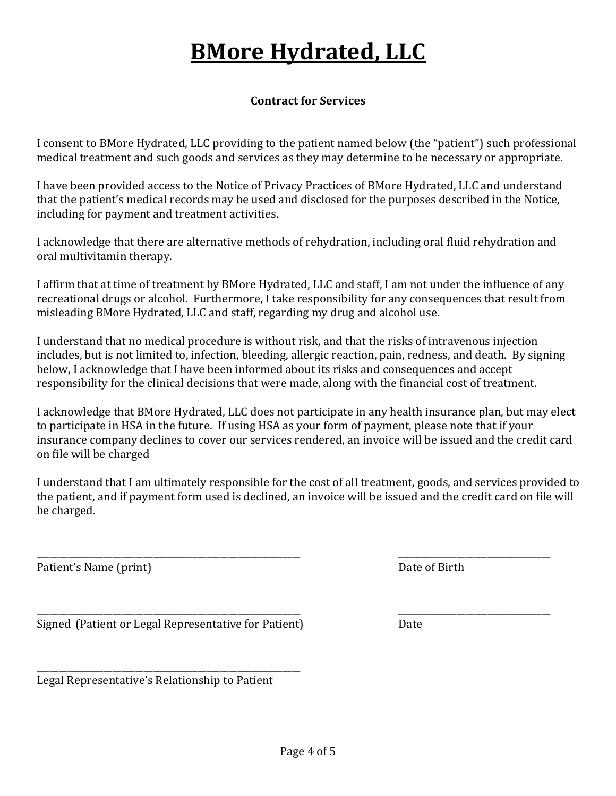### **Contract for Services**

I consent to BMore Hydrated, LLC providing to the patient named below (the "patient") such professional medical treatment and such goods and services as they may determine to be necessary or appropriate.

I have been provided access to the Notice of Privacy Practices of BMore Hydrated, LLC and understand that the patient's medical records may be used and disclosed for the purposes described in the Notice, including for payment and treatment activities.

I acknowledge that there are alternative methods of rehydration, including oral fluid rehydration and oral multivitamin therapy.

I affirm that at time of treatment by BMore Hydrated, LLC and staff, I am not under the influence of any recreational drugs or alcohol. Furthermore, I take responsibility for any consequences that result from misleading BMore Hydrated, LLC and staff, regarding my drug and alcohol use.

I understand that no medical procedure is without risk, and that the risks of intravenous injection includes, but is not limited to, infection, bleeding, allergic reaction, pain, redness, and death. By signing below, I acknowledge that I have been informed about its risks and consequences and accept responsibility for the clinical decisions that were made, along with the financial cost of treatment.

I acknowledge that BMore Hydrated, LLC does not participate in any health insurance plan, but may elect to participate in HSA in the future. If using HSA as your form of payment, please note that if your insurance company declines to cover our services rendered, an invoice will be issued and the credit card on file will be charged

I understand that I am ultimately responsible for the cost of all treatment, goods, and services provided to the patient, and if payment form used is declined, an invoice will be issued and the credit card on file will be charged.

\_\_\_\_\_\_\_\_\_\_\_\_\_\_\_\_\_\_\_\_\_\_\_\_\_\_\_\_\_\_\_\_\_\_\_\_\_\_\_\_\_\_\_\_\_\_\_\_\_\_\_\_\_\_\_\_\_\_\_ \_\_\_\_\_\_\_\_\_\_\_\_\_\_\_\_\_\_\_\_\_\_\_\_\_\_\_\_\_\_\_\_\_\_

Patient's Name (print) Date of Birth

\_\_\_\_\_\_\_\_\_\_\_\_\_\_\_\_\_\_\_\_\_\_\_\_\_\_\_\_\_\_\_\_\_\_\_\_\_\_\_\_\_\_\_\_\_\_\_\_\_\_\_\_\_\_\_\_\_\_\_ \_\_\_\_\_\_\_\_\_\_\_\_\_\_\_\_\_\_\_\_\_\_\_\_\_\_\_\_\_\_\_\_\_\_ Signed (Patient or Legal Representative for Patient) Date

\_\_\_\_\_\_\_\_\_\_\_\_\_\_\_\_\_\_\_\_\_\_\_\_\_\_\_\_\_\_\_\_\_\_\_\_\_\_\_\_\_\_\_\_\_\_\_\_\_\_\_\_\_\_\_\_\_\_\_

Legal Representative's Relationship to Patient